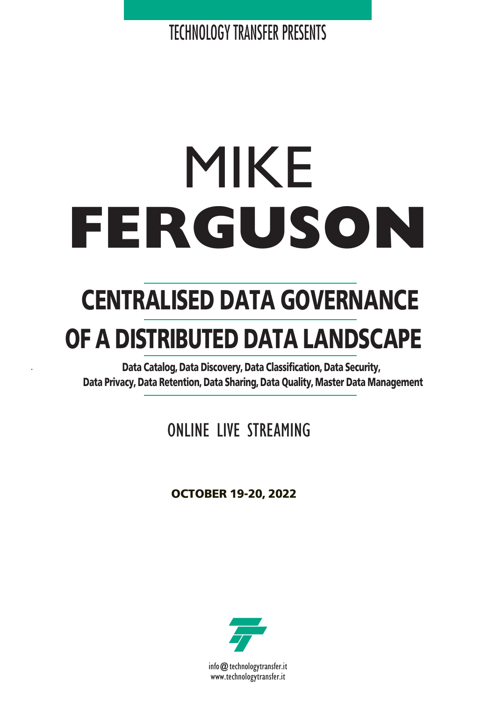TECHNOLOGY TRANSFER PRESENTS

# MIKE **FERGUSON**

## **CENTRALISED DATA GOVERNANCE OF A DISTRIBUTED DATA LANDSCAPE**

**- Data Catalog, Data Discovery, Data Classification, Data Security, Data Privacy, Data Retention, Data Sharing, Data Quality, Master Data Management**

## ONLINE LIVE STREAMING

**OCTOBER 19-20, 2022**



info@technologytransfer.it www.technologytransfer.it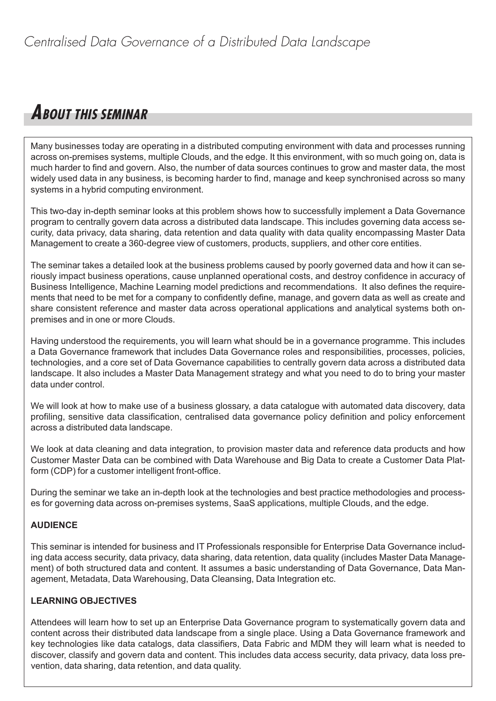## **ABOUT THIS SEMINAR**

Many businesses today are operating in a distributed computing environment with data and processes running across on-premises systems, multiple Clouds, and the edge. It this environment, with so much going on, data is much harder to find and govern. Also, the number of data sources continues to grow and master data, the most widely used data in any business, is becoming harder to find, manage and keep synchronised across so many systems in a hybrid computing environment.

This two-day in-depth seminar looks at this problem shows how to successfully implement a Data Governance program to centrally govern data across a distributed data landscape. This includes governing data access security, data privacy, data sharing, data retention and data quality with data quality encompassing Master Data Management to create a 360-degree view of customers, products, suppliers, and other core entities.

The seminar takes a detailed look at the business problems caused by poorly governed data and how it can seriously impact business operations, cause unplanned operational costs, and destroy confidence in accuracy of Business Intelligence, Machine Learning model predictions and recommendations. It also defines the requirements that need to be met for a company to confidently define, manage, and govern data as well as create and share consistent reference and master data across operational applications and analytical systems both onpremises and in one or more Clouds.

Having understood the requirements, you will learn what should be in a governance programme. This includes a Data Governance framework that includes Data Governance roles and responsibilities, processes, policies, technologies, and a core set of Data Governance capabilities to centrally govern data across a distributed data landscape. It also includes a Master Data Management strategy and what you need to do to bring your master data under control.

We will look at how to make use of a business glossary, a data catalogue with automated data discovery, data profiling, sensitive data classification, centralised data governance policy definition and policy enforcement across a distributed data landscape.

We look at data cleaning and data integration, to provision master data and reference data products and how Customer Master Data can be combined with Data Warehouse and Big Data to create a Customer Data Platform (CDP) for a customer intelligent front-office.

During the seminar we take an in-depth look at the technologies and best practice methodologies and processes for governing data across on-premises systems, SaaS applications, multiple Clouds, and the edge.

#### **AUDIENCE**

This seminar is intended for business and IT Professionals responsible for Enterprise Data Governance including data access security, data privacy, data sharing, data retention, data quality (includes Master Data Management) of both structured data and content. It assumes a basic understanding of Data Governance, Data Management, Metadata, Data Warehousing, Data Cleansing, Data Integration etc.

#### **LEARNING OBJECTIVES**

Attendees will learn how to set up an Enterprise Data Governance program to systematically govern data and content across their distributed data landscape from a single place. Using a Data Governance framework and key technologies like data catalogs, data classifiers, Data Fabric and MDM they will learn what is needed to discover, classify and govern data and content. This includes data access security, data privacy, data loss prevention, data sharing, data retention, and data quality.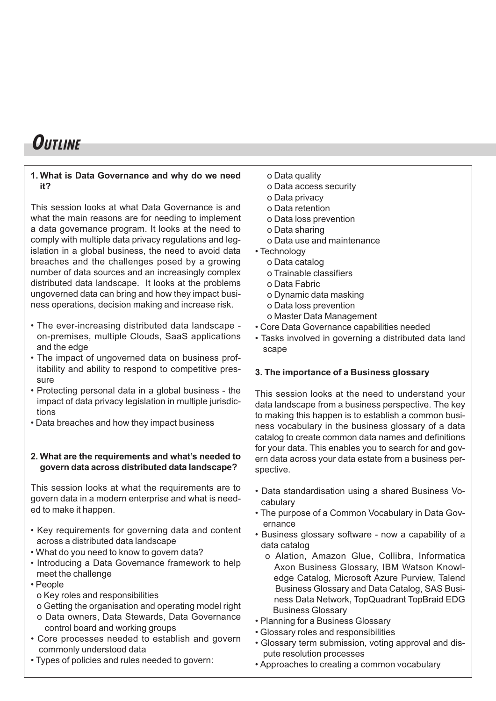## **OUTLINE**

#### **1. What is Data Governance and why do we need it?**

This session looks at what Data Governance is and what the main reasons are for needing to implement a data governance program. It looks at the need to comply with multiple data privacy regulations and legislation in a global business, the need to avoid data breaches and the challenges posed by a growing number of data sources and an increasingly complex distributed data landscape. It looks at the problems ungoverned data can bring and how they impact business operations, decision making and increase risk.

- The ever-increasing distributed data landscape on-premises, multiple Clouds, SaaS applications and the edge
- The impact of ungoverned data on business profitability and ability to respond to competitive pressure
- Protecting personal data in a global business the impact of data privacy legislation in multiple jurisdictions
- Data breaches and how they impact business

#### **2. What are the requirements and what's needed to govern data across distributed data landscape?**

This session looks at what the requirements are to govern data in a modern enterprise and what is needed to make it happen.

- Key requirements for governing data and content across a distributed data landscape
- What do you need to know to govern data?
- Introducing a Data Governance framework to help meet the challenge
- People
	- o Key roles and responsibilities
	- o Getting the organisation and operating model right
	- o Data owners, Data Stewards, Data Governance control board and working groups
- Core processes needed to establish and govern commonly understood data
- Types of policies and rules needed to govern:
- o Data quality
- o Data access security
- o Data privacy
- o Data retention
- o Data loss prevention
- o Data sharing
- o Data use and maintenance
- Technology
	- o Data catalog
	- o Trainable classifiers
	- o Data Fabric
	- o Dynamic data masking
	- o Data loss prevention
	- o Master Data Management
- Core Data Governance capabilities needed
- Tasks involved in governing a distributed data land scape

#### **3. The importance of a Business glossary**

This session looks at the need to understand your data landscape from a business perspective. The key to making this happen is to establish a common business vocabulary in the business glossary of a data catalog to create common data names and definitions for your data. This enables you to search for and govern data across your data estate from a business perspective.

- Data standardisation using a shared Business Vocabulary
- The purpose of a Common Vocabulary in Data Governance
- Business glossary software now a capability of a data catalog
	- o Alation, Amazon Glue, Collibra, Informatica Axon Business Glossary, IBM Watson Knowledge Catalog, Microsoft Azure Purview, Talend Business Glossary and Data Catalog, SAS Business Data Network, TopQuadrant TopBraid EDG Business Glossary
- Planning for a Business Glossary
- Glossary roles and responsibilities
- Glossary term submission, voting approval and dispute resolution processes
- Approaches to creating a common vocabulary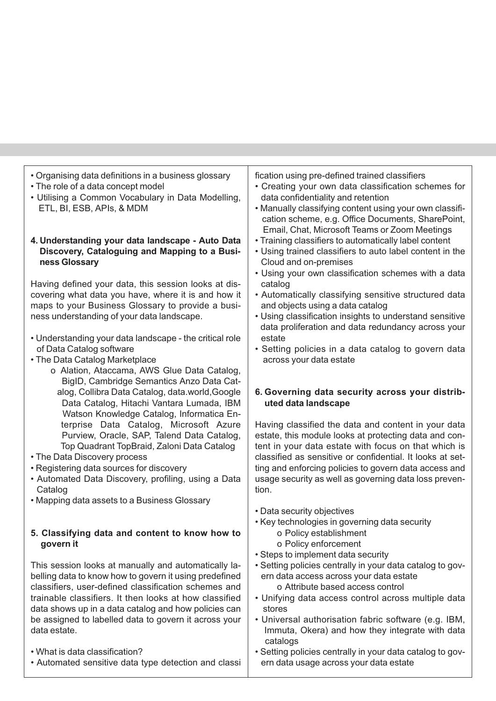| • Organising data definitions in a business glossary    | fication using pre-defined trained classifiers              |
|---------------------------------------------------------|-------------------------------------------------------------|
| • The role of a data concept model                      | • Creating your own data classification schemes for         |
| • Utilising a Common Vocabulary in Data Modelling,      | data confidentiality and retention                          |
| ETL, BI, ESB, APIs, & MDM                               | • Manually classifying content using your own classifi-     |
|                                                         | cation scheme, e.g. Office Documents, SharePoint,           |
|                                                         | Email, Chat, Microsoft Teams or Zoom Meetings               |
| 4. Understanding your data landscape - Auto Data        | • Training classifiers to automatically label content       |
| Discovery, Cataloguing and Mapping to a Busi-           | • Using trained classifiers to auto label content in the    |
| ness Glossary                                           | Cloud and on-premises                                       |
|                                                         | • Using your own classification schemes with a data         |
| Having defined your data, this session looks at dis-    | catalog                                                     |
| covering what data you have, where it is and how it     | • Automatically classifying sensitive structured data       |
| maps to your Business Glossary to provide a busi-       | and objects using a data catalog                            |
| ness understanding of your data landscape.              | • Using classification insights to understand sensitive     |
|                                                         | data proliferation and data redundancy across your          |
| • Understanding your data landscape - the critical role | estate                                                      |
| of Data Catalog software                                | • Setting policies in a data catalog to govern data         |
| • The Data Catalog Marketplace                          | across your data estate                                     |
| o Alation, Ataccama, AWS Glue Data Catalog,             |                                                             |
| BigID, Cambridge Semantics Anzo Data Cat-               |                                                             |
| alog, Collibra Data Catalog, data.world, Google         | 6. Governing data security across your distrib-             |
| Data Catalog, Hitachi Vantara Lumada, IBM               | uted data landscape                                         |
| Watson Knowledge Catalog, Informatica En-               |                                                             |
| terprise Data Catalog, Microsoft Azure                  | Having classified the data and content in your data         |
| Purview, Oracle, SAP, Talend Data Catalog,              | estate, this module looks at protecting data and con-       |
| Top Quadrant TopBraid, Zaloni Data Catalog              | tent in your data estate with focus on that which is        |
| • The Data Discovery process                            | classified as sensitive or confidential. It looks at set-   |
| • Registering data sources for discovery                | ting and enforcing policies to govern data access and       |
| • Automated Data Discovery, profiling, using a Data     | usage security as well as governing data loss preven-       |
| Catalog                                                 | tion.                                                       |
| • Mapping data assets to a Business Glossary            |                                                             |
|                                                         | • Data security objectives                                  |
|                                                         | • Key technologies in governing data security               |
| 5. Classifying data and content to know how to          | o Policy establishment                                      |
| govern it                                               | o Policy enforcement                                        |
|                                                         | • Steps to implement data security                          |
| This session looks at manually and automatically la-    | • Setting policies centrally in your data catalog to gov-   |
| belling data to know how to govern it using predefined  | ern data access across your data estate                     |
| classifiers, user-defined classification schemes and    | o Attribute based access control                            |
| trainable classifiers. It then looks at how classified  | • Unifying data access control across multiple data         |
| data shows up in a data catalog and how policies can    | stores                                                      |
| be assigned to labelled data to govern it across your   | • Universal authorisation fabric software (e.g. IBM,        |
| data estate.                                            |                                                             |
|                                                         | Immuta, Okera) and how they integrate with data<br>catalogs |
| . What is data classification?                          | • Setting policies centrally in your data catalog to gov-   |
| • Automated sensitive data type detection and classi    | ern data usage across your data estate                      |
|                                                         |                                                             |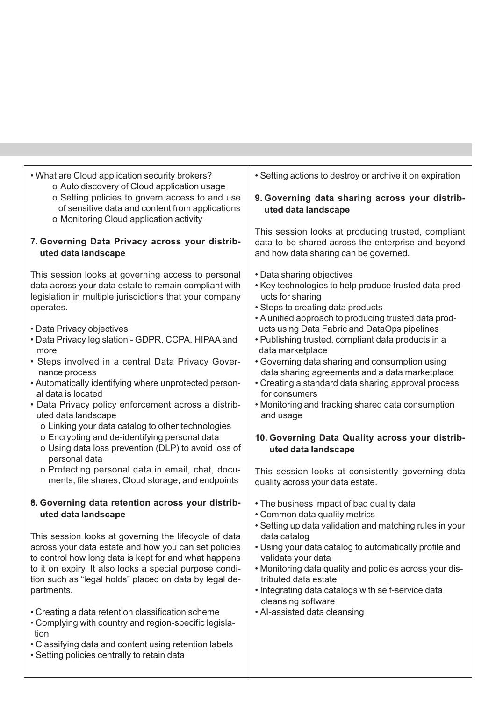| • What are Cloud application security brokers?<br>o Auto discovery of Cloud application usage                                                                                                                                                                                                                                                                                                                                                                                                                                                                                                                                                                                                                                                                                                           | • Setting actions to destroy or archive it on expiration                                                                                                                                                                                                                                                                                                                                                                                                                                                                                                                                                                                                                                                                                       |  |
|---------------------------------------------------------------------------------------------------------------------------------------------------------------------------------------------------------------------------------------------------------------------------------------------------------------------------------------------------------------------------------------------------------------------------------------------------------------------------------------------------------------------------------------------------------------------------------------------------------------------------------------------------------------------------------------------------------------------------------------------------------------------------------------------------------|------------------------------------------------------------------------------------------------------------------------------------------------------------------------------------------------------------------------------------------------------------------------------------------------------------------------------------------------------------------------------------------------------------------------------------------------------------------------------------------------------------------------------------------------------------------------------------------------------------------------------------------------------------------------------------------------------------------------------------------------|--|
| o Setting policies to govern access to and use<br>of sensitive data and content from applications<br>o Monitoring Cloud application activity                                                                                                                                                                                                                                                                                                                                                                                                                                                                                                                                                                                                                                                            | 9. Governing data sharing across your distrib-<br>uted data landscape                                                                                                                                                                                                                                                                                                                                                                                                                                                                                                                                                                                                                                                                          |  |
| 7. Governing Data Privacy across your distrib-<br>uted data landscape                                                                                                                                                                                                                                                                                                                                                                                                                                                                                                                                                                                                                                                                                                                                   | This session looks at producing trusted, compliant<br>data to be shared across the enterprise and beyond<br>and how data sharing can be governed.                                                                                                                                                                                                                                                                                                                                                                                                                                                                                                                                                                                              |  |
| This session looks at governing access to personal<br>data across your data estate to remain compliant with<br>legislation in multiple jurisdictions that your company<br>operates.<br>• Data Privacy objectives<br>• Data Privacy legislation - GDPR, CCPA, HIPAA and<br>more<br>• Steps involved in a central Data Privacy Gover-<br>nance process<br>• Automatically identifying where unprotected person-<br>al data is located<br>• Data Privacy policy enforcement across a distrib-<br>uted data landscape<br>o Linking your data catalog to other technologies<br>o Encrypting and de-identifying personal data<br>o Using data loss prevention (DLP) to avoid loss of<br>personal data<br>o Protecting personal data in email, chat, docu-<br>ments, file shares, Cloud storage, and endpoints | • Data sharing objectives<br>• Key technologies to help produce trusted data prod-<br>ucts for sharing<br>• Steps to creating data products<br>• A unified approach to producing trusted data prod-<br>ucts using Data Fabric and DataOps pipelines<br>• Publishing trusted, compliant data products in a<br>data marketplace<br>• Governing data sharing and consumption using<br>data sharing agreements and a data marketplace<br>• Creating a standard data sharing approval process<br>for consumers<br>• Monitoring and tracking shared data consumption<br>and usage<br>10. Governing Data Quality across your distrib-<br>uted data landscape<br>This session looks at consistently governing data<br>quality across your data estate. |  |
| 8. Governing data retention across your distrib-<br>uted data landscape<br>This session looks at governing the lifecycle of data<br>across your data estate and how you can set policies<br>to control how long data is kept for and what happens<br>to it on expiry. It also looks a special purpose condi-<br>tion such as "legal holds" placed on data by legal de-<br>partments.<br>• Creating a data retention classification scheme<br>• Complying with country and region-specific legisla-<br>tion<br>• Classifying data and content using retention labels<br>• Setting policies centrally to retain data                                                                                                                                                                                      | • The business impact of bad quality data<br>• Common data quality metrics<br>• Setting up data validation and matching rules in your<br>data catalog<br>• Using your data catalog to automatically profile and<br>validate your data<br>• Monitoring data quality and policies across your dis-<br>tributed data estate<br>• Integrating data catalogs with self-service data<br>cleansing software<br>• Al-assisted data cleansing                                                                                                                                                                                                                                                                                                           |  |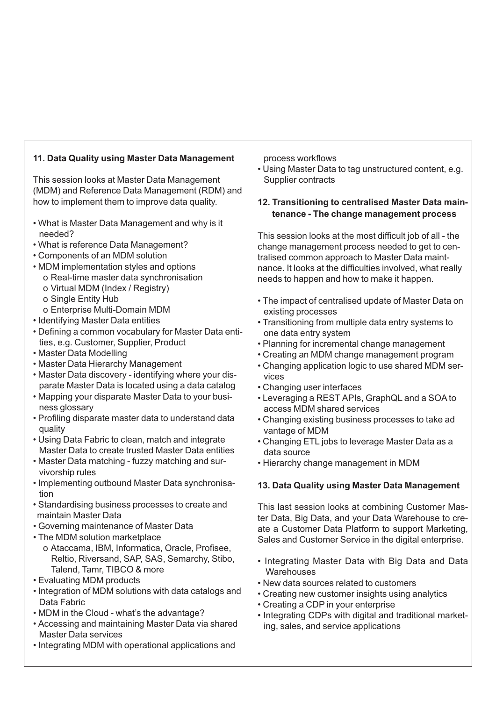#### **11. Data Quality using Master Data Management**

This session looks at Master Data Management (MDM) and Reference Data Management (RDM) and how to implement them to improve data quality.

- What is Master Data Management and why is it needed?
- What is reference Data Management?
- Components of an MDM solution
- MDM implementation styles and options
	- o Real-time master data synchronisation
	- o Virtual MDM (Index / Registry)
	- o Single Entity Hub
	- o Enterprise Multi-Domain MDM
- Identifying Master Data entities
- Defining a common vocabulary for Master Data entities, e.g. Customer, Supplier, Product
- Master Data Modelling
- Master Data Hierarchy Management
- Master Data discovery identifying where your disparate Master Data is located using a data catalog
- Mapping your disparate Master Data to your business glossary
- Profiling disparate master data to understand data quality
- Using Data Fabric to clean, match and integrate Master Data to create trusted Master Data entities
- Master Data matching fuzzy matching and survivorship rules
- Implementing outbound Master Data synchronisation
- Standardising business processes to create and maintain Master Data
- Governing maintenance of Master Data
- The MDM solution marketplace o Ataccama, IBM, Informatica, Oracle, Profisee, Reltio, Riversand, SAP, SAS, Semarchy, Stibo, Talend, Tamr, TIBCO & more
- Evaluating MDM products
- Integration of MDM solutions with data catalogs and Data Fabric
- MDM in the Cloud what's the advantage?
- Accessing and maintaining Master Data via shared Master Data services
- Integrating MDM with operational applications and

process workflows

• Using Master Data to tag unstructured content, e.g. Supplier contracts

#### **12. Transitioning to centralised Master Data maintenance - The change management process**

This session looks at the most difficult job of all - the change management process needed to get to centralised common approach to Master Data maintnance. It looks at the difficulties involved, what really needs to happen and how to make it happen.

- The impact of centralised update of Master Data on existing processes
- Transitioning from multiple data entry systems to one data entry system
- Planning for incremental change management
- Creating an MDM change management program
- Changing application logic to use shared MDM services
- Changing user interfaces
- Leveraging a REST APIs, GraphQL and a SOA to access MDM shared services
- Changing existing business processes to take ad vantage of MDM
- Changing ETL jobs to leverage Master Data as a data source
- Hierarchy change management in MDM

#### **13. Data Quality using Master Data Management**

This last session looks at combining Customer Master Data, Big Data, and your Data Warehouse to create a Customer Data Platform to support Marketing, Sales and Customer Service in the digital enterprise.

- Integrating Master Data with Big Data and Data **Warehouses**
- New data sources related to customers
- Creating new customer insights using analytics
- Creating a CDP in your enterprise
- Integrating CDPs with digital and traditional marketing, sales, and service applications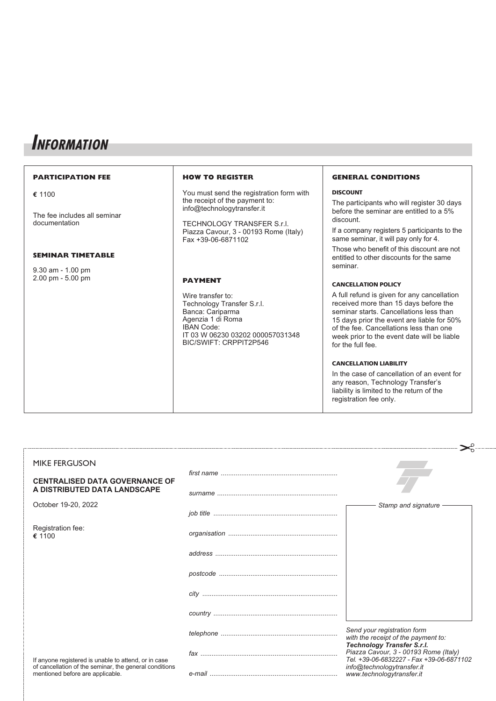### **INFORMATION**

#### **PARTICIPATION FEE e** 1100 The fee includes all seminar documentation **SEMINAR TIMETABLE** 9.30 am - 1.00 pm 2.00 pm - 5.00 pm **HOW TO REGISTER** You must send the registration form with the receipt of the payment to: info@technologytransfer.it TECHNOLOGY TRANSFER S.r.l. Piazza Cavour, 3 - 00193 Rome (Italy) Fax +39-06-6871102 **PAYMENT** Wire transfer to: Technology Transfer S.r.l. Banca: Cariparma Agenzia 1 di Roma IBAN Code: IT 03 W 06230 03202 000057031348 BIC/SWIFT: CRPPIT2P546 **DISCOUNT** discount. seminar. for the full fee.

#### **GENERAL CONDITIONS**

The participants who will register 30 days before the seminar are entitled to a 5%

If a company registers 5 participants to the same seminar, it will pay only for 4.

Those who benefit of this discount are not entitled to other discounts for the same

#### **CANCELLATION POLICY**

A full refund is given for any cancellation received more than 15 days before the seminar starts. Cancellations less than 15 days prior the event are liable for 50% of the fee. Cancellations less than one week prior to the event date will be liable

#### **CANCELLATION LIABILITY**

In the case of cancellation of an event for any reason, Technology Transfer's liability is limited to the return of the registration fee only.

| <b>MIKE FERGUSON</b>                                                                       |                                                                                                         |
|--------------------------------------------------------------------------------------------|---------------------------------------------------------------------------------------------------------|
| <b>CENTRALISED DATA GOVERNANCE OF</b>                                                      |                                                                                                         |
| A DISTRIBUTED DATA LANDSCAPE                                                               |                                                                                                         |
| October 19-20, 2022                                                                        | Stamp and signature                                                                                     |
| Registration fee:<br>€ 1100                                                                |                                                                                                         |
|                                                                                            |                                                                                                         |
|                                                                                            |                                                                                                         |
|                                                                                            |                                                                                                         |
|                                                                                            |                                                                                                         |
|                                                                                            | Send your registration form<br>with the receipt of the payment to:<br><b>Technology Transfer S.r.l.</b> |
| If anyone registered is unable to attend, or in case                                       | Piazza Cavour, 3 - 00193 Rome (Italy)<br>Tel. +39-06-6832227 - Fax +39-06-6871102                       |
| of cancellation of the seminar, the general conditions<br>mentioned before are applicable. | info@technologytransfer.it<br>www.technologytransfer.it                                                 |